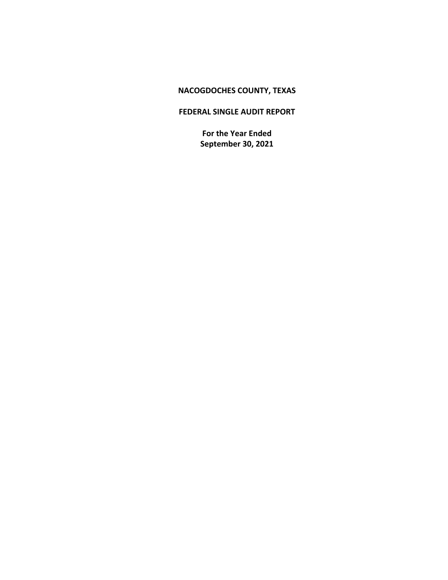# **NACOGDOCHES COUNTY, TEXAS**

# **FEDERAL SINGLE AUDIT REPORT**

**For the Year Ended September 30, 2021**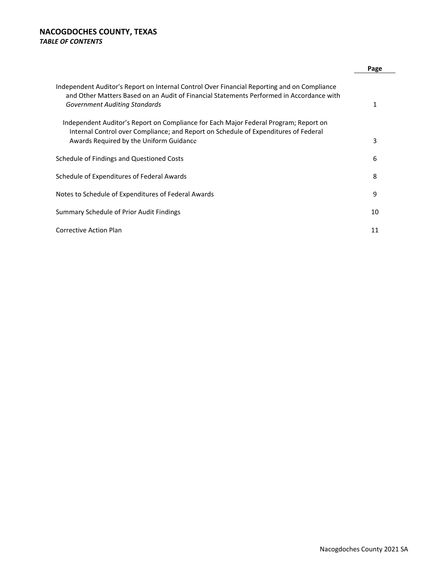# **NACOGDOCHES COUNTY, TEXAS** *TABLE OF CONTENTS*

|                                                                                                                                                                                                                          | Page |
|--------------------------------------------------------------------------------------------------------------------------------------------------------------------------------------------------------------------------|------|
| Independent Auditor's Report on Internal Control Over Financial Reporting and on Compliance<br>and Other Matters Based on an Audit of Financial Statements Performed in Accordance with<br>Government Auditing Standards | 1    |
| Independent Auditor's Report on Compliance for Each Major Federal Program; Report on<br>Internal Control over Compliance; and Report on Schedule of Expenditures of Federal<br>Awards Required by the Uniform Guidance   | 3    |
| Schedule of Findings and Questioned Costs                                                                                                                                                                                | 6    |
| Schedule of Expenditures of Federal Awards                                                                                                                                                                               | 8    |
| Notes to Schedule of Expenditures of Federal Awards                                                                                                                                                                      | 9    |
| Summary Schedule of Prior Audit Findings                                                                                                                                                                                 | 10   |
| Corrective Action Plan                                                                                                                                                                                                   | 11   |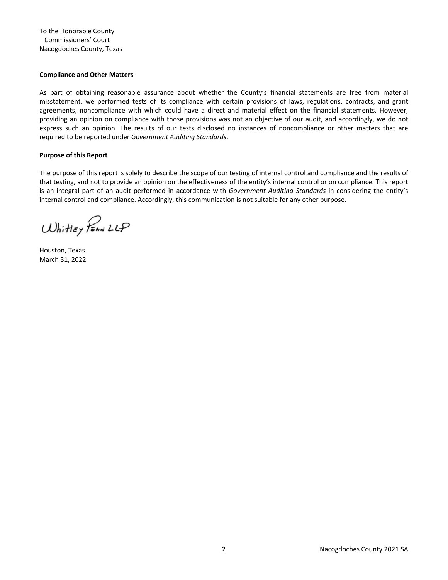To the Honorable County Commissioners' Court Nacogdoches County, Texas

### **Compliance and Other Matters**

As part of obtaining reasonable assurance about whether the County's financial statements are free from material misstatement, we performed tests of its compliance with certain provisions of laws, regulations, contracts, and grant agreements, noncompliance with which could have a direct and material effect on the financial statements. However, providing an opinion on compliance with those provisions was not an objective of our audit, and accordingly, we do not express such an opinion. The results of our tests disclosed no instances of noncompliance or other matters that are required to be reported under *Government Auditing Standards*.

### **Purpose of this Report**

The purpose of this report is solely to describe the scope of our testing of internal control and compliance and the results of that testing, and not to provide an opinion on the effectiveness of the entity's internal control or on compliance. This report is an integral part of an audit performed in accordance with *Government Auditing Standards* in considering the entity's internal control and compliance. Accordingly, this communication is not suitable for any other purpose.

Whitley PEAN LLP

Houston, Texas March 31, 2022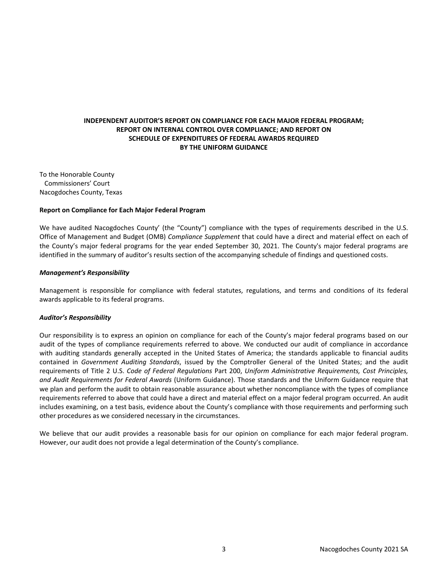3737 Buffalo Speedway Suite 1600 Houston, Texas 77098 713.621.1515 Main

whitleypenn.com

### **INDEPENDENT AUDITOR'S REPORT ON COMPLIANCE FOR EACH MAJOR FEDERAL PROGRAM; REPORT ON INTERNAL CONTROL OVER COMPLIANCE; AND REPORT ON SCHEDULE OF EXPENDITURES OF FEDERAL AWARDS REQUIRED BY THE UNIFORM GUIDANCE**

To the Honorable County Commissioners' Court Nacogdoches County, Texas

### **Report on Compliance for Each Major Federal Program**

We have audited Nacogdoches County' (the "County") compliance with the types of requirements described in the U.S. Office of Management and Budget (OMB) *Compliance Supplement* that could have a direct and material effect on each of the County's major federal programs for the year ended September 30, 2021. The County's major federal programs are identified in the summary of auditor's results section of the accompanying schedule of findings and questioned costs.

#### *Management's Responsibility*

Management is responsible for compliance with federal statutes, regulations, and terms and conditions of its federal awards applicable to its federal programs.

### *Auditor's Responsibility*

Our responsibility is to express an opinion on compliance for each of the County's major federal programs based on our audit of the types of compliance requirements referred to above. We conducted our audit of compliance in accordance with auditing standards generally accepted in the United States of America; the standards applicable to financial audits contained in *Government Auditing Standards*, issued by the Comptroller General of the United States; and the audit requirements of Title 2 U.S. *Code of Federal Regulations* Part 200, *Uniform Administrative Requirements, Cost Principles, and Audit Requirements for Federal Awards* (Uniform Guidance). Those standards and the Uniform Guidance require that we plan and perform the audit to obtain reasonable assurance about whether noncompliance with the types of compliance requirements referred to above that could have a direct and material effect on a major federal program occurred. An audit includes examining, on a test basis, evidence about the County's compliance with those requirements and performing such other procedures as we considered necessary in the circumstances.

We believe that our audit provides a reasonable basis for our opinion on compliance for each major federal program. However, our audit does not provide a legal determination of the County's compliance.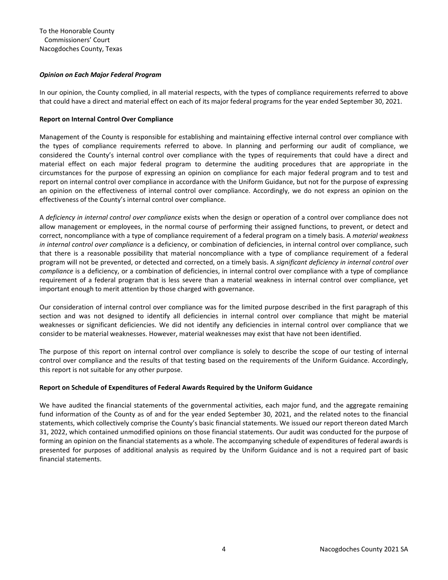### *Opinion on Each Major Federal Program*

In our opinion, the County complied, in all material respects, with the types of compliance requirements referred to above that could have a direct and material effect on each of its major federal programs for the year ended September 30, 2021.

### **Report on Internal Control Over Compliance**

Management of the County is responsible for establishing and maintaining effective internal control over compliance with the types of compliance requirements referred to above. In planning and performing our audit of compliance, we considered the County's internal control over compliance with the types of requirements that could have a direct and material effect on each major federal program to determine the auditing procedures that are appropriate in the circumstances for the purpose of expressing an opinion on compliance for each major federal program and to test and report on internal control over compliance in accordance with the Uniform Guidance, but not for the purpose of expressing an opinion on the effectiveness of internal control over compliance. Accordingly, we do not express an opinion on the effectiveness of the County's internal control over compliance.

A *deficiency in internal control over compliance* exists when the design or operation of a control over compliance does not allow management or employees, in the normal course of performing their assigned functions, to prevent, or detect and correct, noncompliance with a type of compliance requirement of a federal program on a timely basis. A *material weakness in internal control over compliance* is a deficiency, or combination of deficiencies, in internal control over compliance, such that there is a reasonable possibility that material noncompliance with a type of compliance requirement of a federal program will not be prevented, or detected and corrected, on a timely basis. A *significant deficiency in internal control over compliance* is a deficiency, or a combination of deficiencies, in internal control over compliance with a type of compliance requirement of a federal program that is less severe than a material weakness in internal control over compliance, yet important enough to merit attention by those charged with governance.

Our consideration of internal control over compliance was for the limited purpose described in the first paragraph of this section and was not designed to identify all deficiencies in internal control over compliance that might be material weaknesses or significant deficiencies. We did not identify any deficiencies in internal control over compliance that we consider to be material weaknesses. However, material weaknesses may exist that have not been identified.

The purpose of this report on internal control over compliance is solely to describe the scope of our testing of internal control over compliance and the results of that testing based on the requirements of the Uniform Guidance. Accordingly, this report is not suitable for any other purpose.

### **Report on Schedule of Expenditures of Federal Awards Required by the Uniform Guidance**

We have audited the financial statements of the governmental activities, each major fund, and the aggregate remaining fund information of the County as of and for the year ended September 30, 2021, and the related notes to the financial statements, which collectively comprise the County's basic financial statements. We issued our report thereon dated March 31, 2022, which contained unmodified opinions on those financial statements. Our audit was conducted for the purpose of forming an opinion on the financial statements as a whole. The accompanying schedule of expenditures of federal awards is presented for purposes of additional analysis as required by the Uniform Guidance and is not a required part of basic financial statements.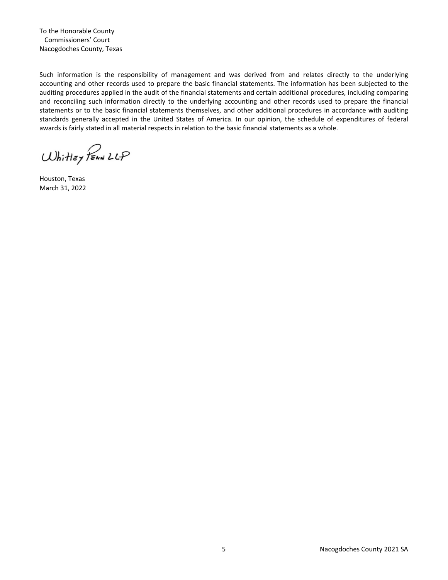To the Honorable County Commissioners' Court Nacogdoches County, Texas

Such information is the responsibility of management and was derived from and relates directly to the underlying accounting and other records used to prepare the basic financial statements. The information has been subjected to the auditing procedures applied in the audit of the financial statements and certain additional procedures, including comparing and reconciling such information directly to the underlying accounting and other records used to prepare the financial statements or to the basic financial statements themselves, and other additional procedures in accordance with auditing standards generally accepted in the United States of America. In our opinion, the schedule of expenditures of federal awards is fairly stated in all material respects in relation to the basic financial statements as a whole.

Whitley PEAN LLP

Houston, Texas March 31, 2022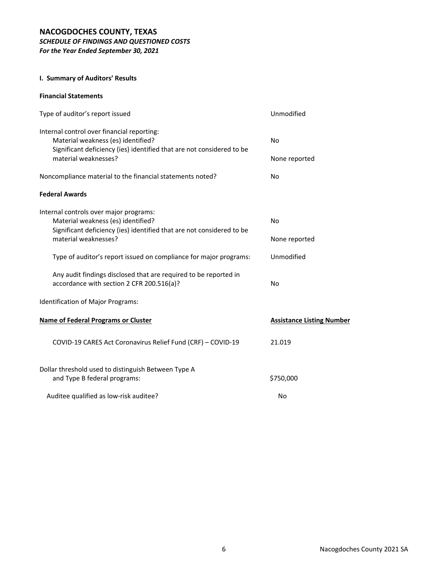# **NACOGDOCHES COUNTY, TEXAS** *SCHEDULE OF FINDINGS AND QUESTIONED COSTS*

*For the Year Ended September 30, 2021*

## **I. Summary of Auditors' Results**

### **Financial Statements**

| Type of auditor's report issued                                                                                                                                                   | Unmodified                       |
|-----------------------------------------------------------------------------------------------------------------------------------------------------------------------------------|----------------------------------|
| Internal control over financial reporting:<br>Material weakness (es) identified?<br>Significant deficiency (ies) identified that are not considered to be<br>material weaknesses? | <b>No</b><br>None reported       |
| Noncompliance material to the financial statements noted?                                                                                                                         | <b>No</b>                        |
| <b>Federal Awards</b>                                                                                                                                                             |                                  |
| Internal controls over major programs:<br>Material weakness (es) identified?<br>Significant deficiency (ies) identified that are not considered to be<br>material weaknesses?     | <b>No</b><br>None reported       |
| Type of auditor's report issued on compliance for major programs:                                                                                                                 | Unmodified                       |
| Any audit findings disclosed that are required to be reported in<br>accordance with section 2 CFR 200.516(a)?                                                                     | <b>No</b>                        |
| Identification of Major Programs:                                                                                                                                                 |                                  |
| <b>Name of Federal Programs or Cluster</b>                                                                                                                                        | <b>Assistance Listing Number</b> |
| COVID-19 CARES Act Coronavirus Relief Fund (CRF) - COVID-19                                                                                                                       | 21.019                           |
| Dollar threshold used to distinguish Between Type A<br>and Type B federal programs:                                                                                               | \$750,000                        |
| Auditee qualified as low-risk auditee?                                                                                                                                            | No                               |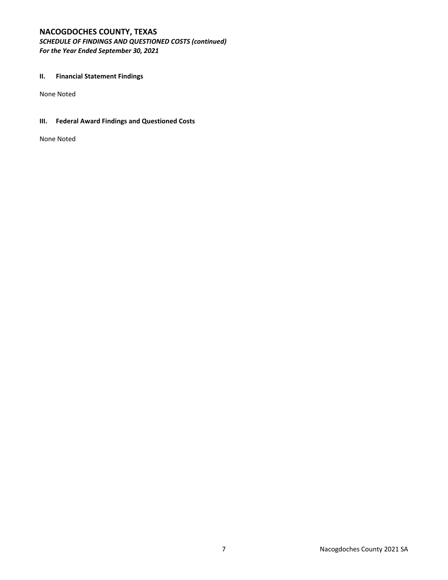# **NACOGDOCHES COUNTY, TEXAS**

*SCHEDULE OF FINDINGS AND QUESTIONED COSTS (continued) For the Year Ended September 30, 2021*

### **II. Financial Statement Findings**

None Noted

# **III. Federal Award Findings and Questioned Costs**

None Noted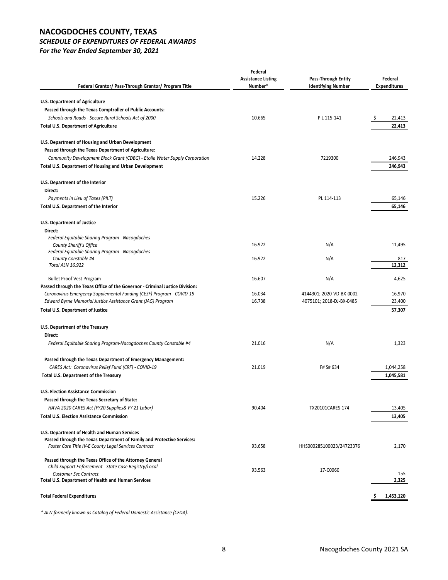# **NACOGDOCHES COUNTY, TEXAS**

# *SCHEDULE OF EXPENDITURES OF FEDERAL AWARDS*

*For the Year Ended September 30, 2021*

| Federal Grantor/ Pass-Through Grantor/ Program Title                                         | Federal<br><b>Assistance Listing</b><br>Number* | Pass-Through Entity<br><b>Identifying Number</b> | Federal<br><b>Expenditures</b> |
|----------------------------------------------------------------------------------------------|-------------------------------------------------|--------------------------------------------------|--------------------------------|
|                                                                                              |                                                 |                                                  |                                |
| U.S. Department of Agriculture                                                               |                                                 |                                                  |                                |
| Passed through the Texas Comptroller of Public Accounts:                                     |                                                 |                                                  |                                |
| Schools and Roads - Secure Rural Schools Act of 2000                                         | 10.665                                          | P L 115-141                                      | 22,413<br>-\$                  |
| <b>Total U.S. Department of Agriculture</b>                                                  |                                                 |                                                  | 22,413                         |
| U.S. Department of Housing and Urban Development                                             |                                                 |                                                  |                                |
| Passed through the Texas Department of Agriculture:                                          |                                                 |                                                  |                                |
| Community Development Block Grant (CDBG) - Etoile Water Supply Corporation                   | 14.228                                          | 7219300                                          | 246,943                        |
| Total U.S. Department of Housing and Urban Development                                       |                                                 |                                                  | 246,943                        |
| U.S. Department of the Interior                                                              |                                                 |                                                  |                                |
| Direct:                                                                                      |                                                 |                                                  |                                |
| Payments in Lieu of Taxes (PILT)                                                             | 15.226                                          | PL 114-113                                       | 65,146                         |
| Total U.S. Department of the Interior                                                        |                                                 |                                                  | 65,146                         |
| U.S. Department of Justice                                                                   |                                                 |                                                  |                                |
| Direct:                                                                                      |                                                 |                                                  |                                |
| Federal Equitable Sharing Program - Nacogdoches                                              |                                                 |                                                  |                                |
| County Sheriff's Office                                                                      | 16.922                                          | N/A                                              | 11,495                         |
| Federal Equitable Sharing Program - Nacogdoches<br>County Constable #4                       | 16.922                                          | N/A                                              | 817                            |
| <b>Total ALN 16.922</b>                                                                      |                                                 |                                                  | 12,312                         |
| <b>Bullet Proof Vest Program</b>                                                             | 16.607                                          | N/A                                              | 4,625                          |
| Passed through the Texas Office of the Governor - Criminal Justice Division:                 |                                                 |                                                  |                                |
| Coronavirus Emergency Supplemental Funding (CESF) Program - COVID-19                         | 16.034                                          | 4144301; 2020-VD-BX-0002                         | 16,970                         |
| Edward Byrne Memorial Justice Assistance Grant (JAG) Program                                 | 16.738                                          | 4075101; 2018-DJ-BX-0485                         | 23,400                         |
| Total U.S. Department of Justice                                                             |                                                 |                                                  | 57,307                         |
| U.S. Department of the Treasury<br>Direct:                                                   |                                                 |                                                  |                                |
| Federal Equitable Sharing Program-Nacogdoches County Constable #4                            | 21.016                                          | N/A                                              | 1,323                          |
|                                                                                              |                                                 |                                                  |                                |
| Passed through the Texas Department of Emergency Management:                                 | 21.019                                          | F# S# 634                                        |                                |
| CARES Act: Coronavirus Relief Fund (CRF) - COVID-19<br>Total U.S. Department of the Treasury |                                                 |                                                  | 1,044,258<br>1,045,581         |
| <b>U.S. Election Assistance Commission</b>                                                   |                                                 |                                                  |                                |
|                                                                                              |                                                 |                                                  |                                |
| Passed through the Texas Secretary of State:                                                 | 90.404                                          | TX20101CARES-174                                 |                                |
| HAVA 2020 CARES Act (FY20 Supplies& FY 21 Labor)                                             |                                                 |                                                  | 13,405                         |
| <b>Total U.S. Election Assistance Commission</b>                                             |                                                 |                                                  | 13,405                         |
| U.S. Department of Health and Human Services                                                 |                                                 |                                                  |                                |
| Passed through the Texas Department of Family and Protective Services:                       |                                                 |                                                  |                                |
| Foster Care Title IV-E County Legal Services Contract                                        | 93.658                                          | HHS000285100023/24723376                         | 2,170                          |
| Passed through the Texas Office of the Attorney General                                      |                                                 |                                                  |                                |
| Child Support Enforcement - State Case Registry/Local                                        | 93.563                                          | 17-C0060                                         |                                |
| <b>Customer Svc Contract</b>                                                                 |                                                 |                                                  | 155                            |
| Total U.S. Department of Health and Human Services                                           |                                                 |                                                  | 2,325                          |
| <b>Total Federal Expenditures</b>                                                            |                                                 |                                                  | 1,453,120                      |
|                                                                                              |                                                 |                                                  |                                |

*\* ALN formerly known as Catalog of Federal Domestic Assistance (CFDA).*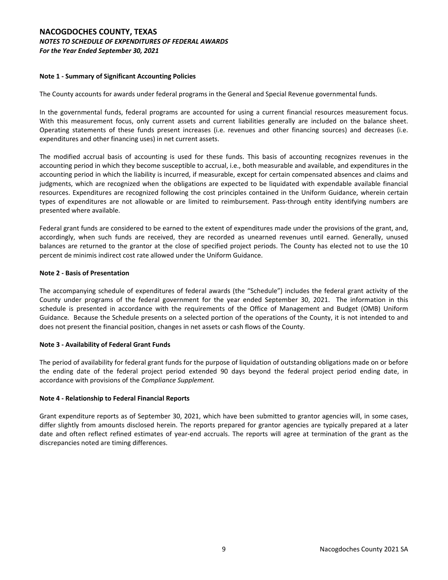## **NACOGDOCHES COUNTY, TEXAS** *NOTES TO SCHEDULE OF EXPENDITURES OF FEDERAL AWARDS For the Year Ended September 30, 2021*

### **Note 1 ‐ Summary of Significant Accounting Policies**

The County accounts for awards under federal programs in the General and Special Revenue governmental funds.

In the governmental funds, federal programs are accounted for using a current financial resources measurement focus. With this measurement focus, only current assets and current liabilities generally are included on the balance sheet. Operating statements of these funds present increases (i.e. revenues and other financing sources) and decreases (i.e. expenditures and other financing uses) in net current assets.

The modified accrual basis of accounting is used for these funds. This basis of accounting recognizes revenues in the accounting period in which they become susceptible to accrual, i.e., both measurable and available, and expenditures in the accounting period in which the liability is incurred, if measurable, except for certain compensated absences and claims and judgments, which are recognized when the obligations are expected to be liquidated with expendable available financial resources. Expenditures are recognized following the cost principles contained in the Uniform Guidance, wherein certain types of expenditures are not allowable or are limited to reimbursement. Pass-through entity identifying numbers are presented where available.

Federal grant funds are considered to be earned to the extent of expenditures made under the provisions of the grant, and, accordingly, when such funds are received, they are recorded as unearned revenues until earned. Generally, unused balances are returned to the grantor at the close of specified project periods. The County has elected not to use the 10 percent de minimis indirect cost rate allowed under the Uniform Guidance.

### **Note 2 ‐ Basis of Presentation**

The accompanying schedule of expenditures of federal awards (the "Schedule") includes the federal grant activity of the County under programs of the federal government for the year ended September 30, 2021. The information in this schedule is presented in accordance with the requirements of the Office of Management and Budget (OMB) Uniform Guidance*.* Because the Schedule presents on a selected portion of the operations of the County, it is not intended to and does not present the financial position, changes in net assets or cash flows of the County.

### **Note 3 ‐ Availability of Federal Grant Funds**

The period of availability for federal grant funds for the purpose of liquidation of outstanding obligations made on or before the ending date of the federal project period extended 90 days beyond the federal project period ending date, in accordance with provisions of the *Compliance Supplement.*

### **Note 4 ‐ Relationship to Federal Financial Reports**

Grant expenditure reports as of September 30, 2021, which have been submitted to grantor agencies will, in some cases, differ slightly from amounts disclosed herein. The reports prepared for grantor agencies are typically prepared at a later date and often reflect refined estimates of year-end accruals. The reports will agree at termination of the grant as the discrepancies noted are timing differences.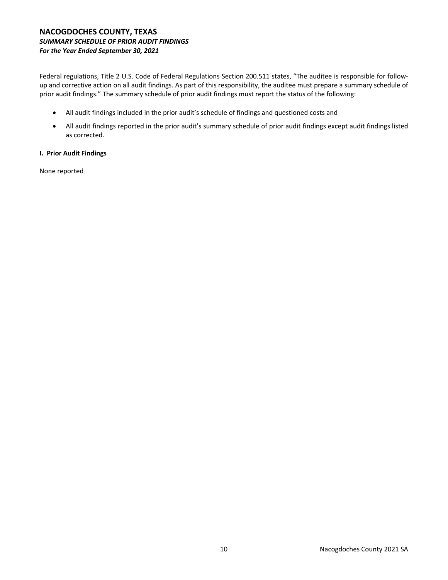## **NACOGDOCHES COUNTY, TEXAS** *SUMMARY SCHEDULE OF PRIOR AUDIT FINDINGS For the Year Ended September 30, 2021*

Federal regulations, Title 2 U.S. Code of Federal Regulations Section 200.511 states, "The auditee is responsible for followup and corrective action on all audit findings. As part of this responsibility, the auditee must prepare a summary schedule of prior audit findings." The summary schedule of prior audit findings must report the status of the following:

- All audit findings included in the prior audit's schedule of findings and questioned costs and
- All audit findings reported in the prior audit's summary schedule of prior audit findings except audit findings listed as corrected.

### **I. Prior Audit Findings**

None reported